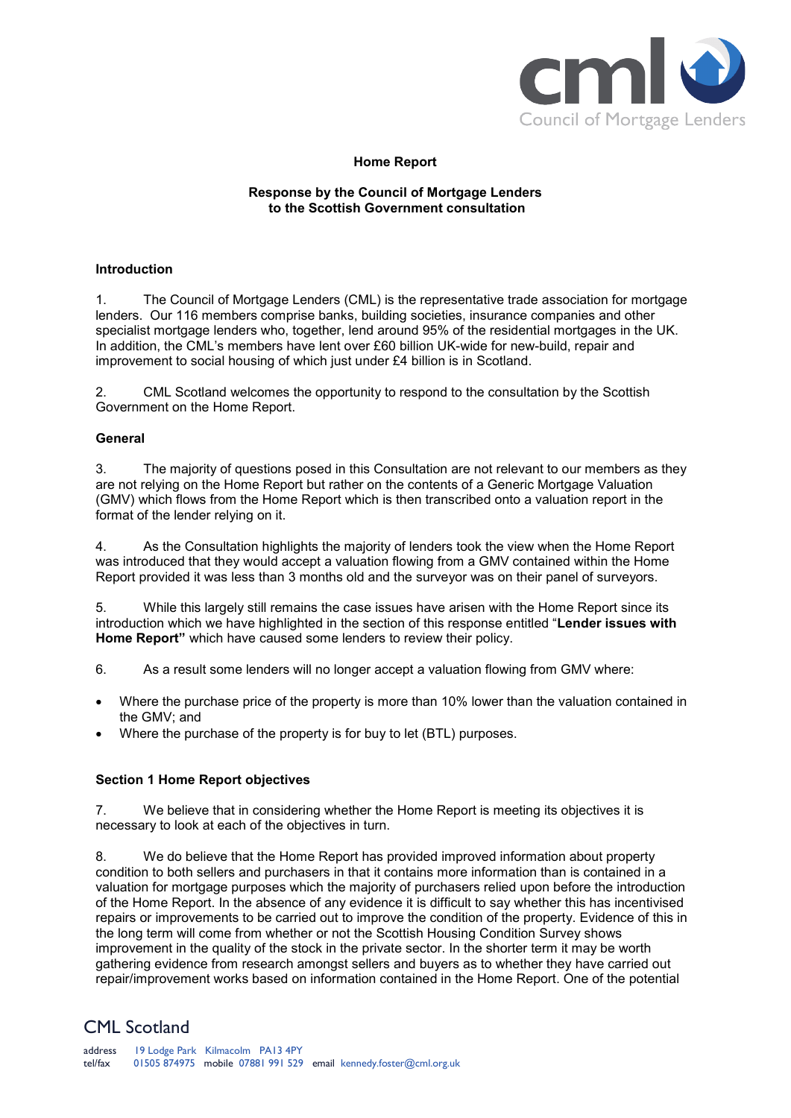

## **Home Report**

### **Response by the Council of Mortgage Lenders to the Scottish Government consultation**

### **Introduction**

1. The Council of Mortgage Lenders (CML) is the representative trade association for mortgage lenders. Our 116 members comprise banks, building societies, insurance companies and other specialist mortgage lenders who, together, lend around 95% of the residential mortgages in the UK. In addition, the CML's members have lent over £60 billion UK-wide for new-build, repair and improvement to social housing of which just under £4 billion is in Scotland.

2. CML Scotland welcomes the opportunity to respond to the consultation by the Scottish Government on the Home Report.

### **General**

3. The majority of questions posed in this Consultation are not relevant to our members as they are not relying on the Home Report but rather on the contents of a Generic Mortgage Valuation (GMV) which flows from the Home Report which is then transcribed onto a valuation report in the format of the lender relying on it.

4. As the Consultation highlights the majority of lenders took the view when the Home Report was introduced that they would accept a valuation flowing from a GMV contained within the Home Report provided it was less than 3 months old and the surveyor was on their panel of surveyors.

5. While this largely still remains the case issues have arisen with the Home Report since its introduction which we have highlighted in the section of this response entitled "**Lender issues with Home Report"** which have caused some lenders to review their policy.

6. As a result some lenders will no longer accept a valuation flowing from GMV where:

- Where the purchase price of the property is more than 10% lower than the valuation contained in the GMV; and
- Where the purchase of the property is for buy to let (BTL) purposes.

## **Section 1 Home Report objectives**

7. We believe that in considering whether the Home Report is meeting its objectives it is necessary to look at each of the objectives in turn.

8. We do believe that the Home Report has provided improved information about property condition to both sellers and purchasers in that it contains more information than is contained in a valuation for mortgage purposes which the majority of purchasers relied upon before the introduction of the Home Report. In the absence of any evidence it is difficult to say whether this has incentivised repairs or improvements to be carried out to improve the condition of the property. Evidence of this in the long term will come from whether or not the Scottish Housing Condition Survey shows improvement in the quality of the stock in the private sector. In the shorter term it may be worth gathering evidence from research amongst sellers and buyers as to whether they have carried out repair/improvement works based on information contained in the Home Report. One of the potential

# CML Scotland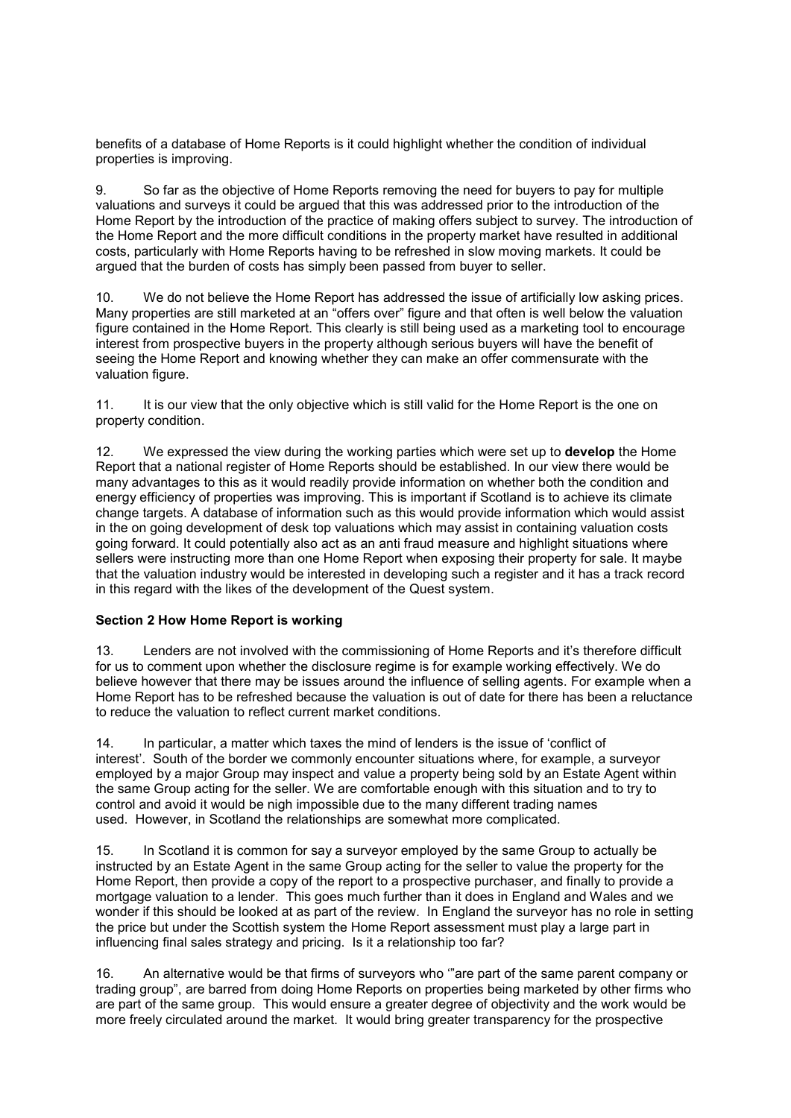benefits of a database of Home Reports is it could highlight whether the condition of individual properties is improving.

9. So far as the objective of Home Reports removing the need for buyers to pay for multiple valuations and surveys it could be argued that this was addressed prior to the introduction of the Home Report by the introduction of the practice of making offers subject to survey. The introduction of the Home Report and the more difficult conditions in the property market have resulted in additional costs, particularly with Home Reports having to be refreshed in slow moving markets. It could be argued that the burden of costs has simply been passed from buyer to seller.

10. We do not believe the Home Report has addressed the issue of artificially low asking prices. Many properties are still marketed at an "offers over" figure and that often is well below the valuation figure contained in the Home Report. This clearly is still being used as a marketing tool to encourage interest from prospective buyers in the property although serious buyers will have the benefit of seeing the Home Report and knowing whether they can make an offer commensurate with the valuation figure.

11. It is our view that the only objective which is still valid for the Home Report is the one on property condition.

12. We expressed the view during the working parties which were set up to **develop** the Home Report that a national register of Home Reports should be established. In our view there would be many advantages to this as it would readily provide information on whether both the condition and energy efficiency of properties was improving. This is important if Scotland is to achieve its climate change targets. A database of information such as this would provide information which would assist in the on going development of desk top valuations which may assist in containing valuation costs going forward. It could potentially also act as an anti fraud measure and highlight situations where sellers were instructing more than one Home Report when exposing their property for sale. It maybe that the valuation industry would be interested in developing such a register and it has a track record in this regard with the likes of the development of the Quest system.

## **Section 2 How Home Report is working**

13. Lenders are not involved with the commissioning of Home Reports and it's therefore difficult for us to comment upon whether the disclosure regime is for example working effectively. We do believe however that there may be issues around the influence of selling agents. For example when a Home Report has to be refreshed because the valuation is out of date for there has been a reluctance to reduce the valuation to reflect current market conditions.

14. In particular, a matter which taxes the mind of lenders is the issue of 'conflict of interest'. South of the border we commonly encounter situations where, for example, a surveyor employed by a major Group may inspect and value a property being sold by an Estate Agent within the same Group acting for the seller. We are comfortable enough with this situation and to try to control and avoid it would be nigh impossible due to the many different trading names used. However, in Scotland the relationships are somewhat more complicated.

15. In Scotland it is common for say a surveyor employed by the same Group to actually be instructed by an Estate Agent in the same Group acting for the seller to value the property for the Home Report, then provide a copy of the report to a prospective purchaser, and finally to provide a mortgage valuation to a lender. This goes much further than it does in England and Wales and we wonder if this should be looked at as part of the review. In England the surveyor has no role in setting the price but under the Scottish system the Home Report assessment must play a large part in influencing final sales strategy and pricing. Is it a relationship too far?

16. An alternative would be that firms of surveyors who '"are part of the same parent company or trading group", are barred from doing Home Reports on properties being marketed by other firms who are part of the same group. This would ensure a greater degree of objectivity and the work would be more freely circulated around the market. It would bring greater transparency for the prospective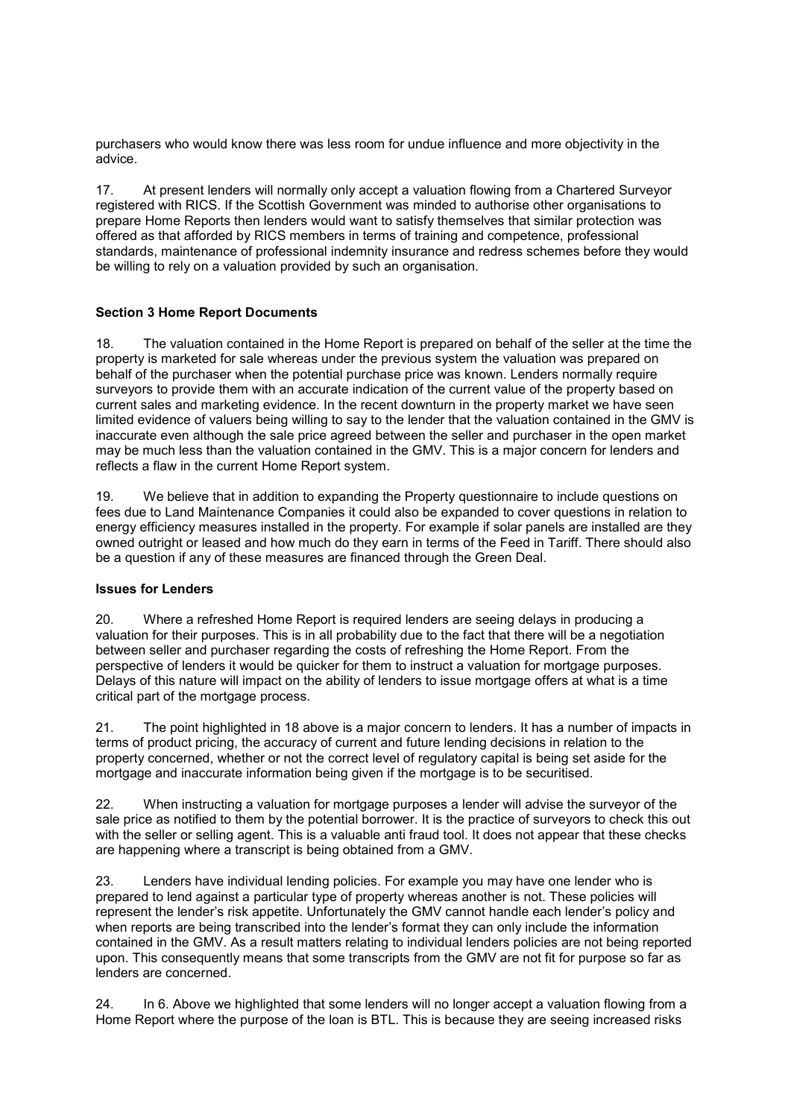purchasers who would know there was less room for undue influence and more objectivity in the advice.

17. At present lenders will normally only accept a valuation flowing from a Chartered Surveyor registered with RICS. If the Scottish Government was minded to authorise other organisations to prepare Home Reports then lenders would want to satisfy themselves that similar protection was offered as that afforded by RICS members in terms of training and competence, professional standards, maintenance of professional indemnity insurance and redress schemes before they would be willing to rely on a valuation provided by such an organisation.

## **Section 3 Home Report Documents**

18. The valuation contained in the Home Report is prepared on behalf of the seller at the time the property is marketed for sale whereas under the previous system the valuation was prepared on behalf of the purchaser when the potential purchase price was known. Lenders normally require surveyors to provide them with an accurate indication of the current value of the property based on current sales and marketing evidence. In the recent downturn in the property market we have seen limited evidence of valuers being willing to say to the lender that the valuation contained in the GMV is inaccurate even although the sale price agreed between the seller and purchaser in the open market may be much less than the valuation contained in the GMV. This is a major concern for lenders and reflects a flaw in the current Home Report system.

19. We believe that in addition to expanding the Property questionnaire to include questions on fees due to Land Maintenance Companies it could also be expanded to cover questions in relation to energy efficiency measures installed in the property. For example if solar panels are installed are they owned outright or leased and how much do they earn in terms of the Feed in Tariff. There should also be a question if any of these measures are financed through the Green Deal.

### **Issues for Lenders**

20. Where a refreshed Home Report is required lenders are seeing delays in producing a valuation for their purposes. This is in all probability due to the fact that there will be a negotiation between seller and purchaser regarding the costs of refreshing the Home Report. From the perspective of lenders it would be quicker for them to instruct a valuation for mortgage purposes. Delays of this nature will impact on the ability of lenders to issue mortgage offers at what is a time critical part of the mortgage process.

21. The point highlighted in 18 above is a major concern to lenders. It has a number of impacts in terms of product pricing, the accuracy of current and future lending decisions in relation to the property concerned, whether or not the correct level of regulatory capital is being set aside for the mortgage and inaccurate information being given if the mortgage is to be securitised.

22. When instructing a valuation for mortgage purposes a lender will advise the surveyor of the sale price as notified to them by the potential borrower. It is the practice of surveyors to check this out with the seller or selling agent. This is a valuable anti fraud tool. It does not appear that these checks are happening where a transcript is being obtained from a GMV.

23. Lenders have individual lending policies. For example you may have one lender who is prepared to lend against a particular type of property whereas another is not. These policies will represent the lender's risk appetite. Unfortunately the GMV cannot handle each lender's policy and when reports are being transcribed into the lender's format they can only include the information contained in the GMV. As a result matters relating to individual lenders policies are not being reported upon. This consequently means that some transcripts from the GMV are not fit for purpose so far as lenders are concerned.

24. In 6. Above we highlighted that some lenders will no longer accept a valuation flowing from a Home Report where the purpose of the loan is BTL. This is because they are seeing increased risks